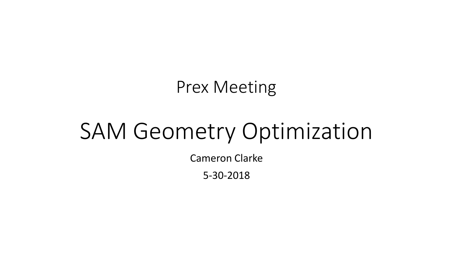### Prex Meeting

# SAM Geometry Optimization

Cameron Clarke

5-30-2018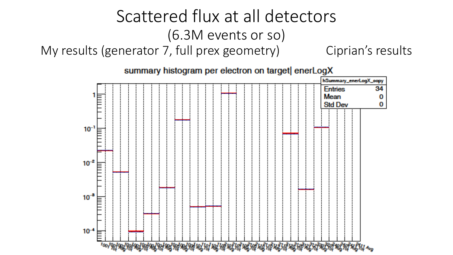#### Scattered flux at all detectors (6.3M events or so) My results (generator 7, full prex geometry) Ciprian's results

summary histogram per electron on target enerLogX

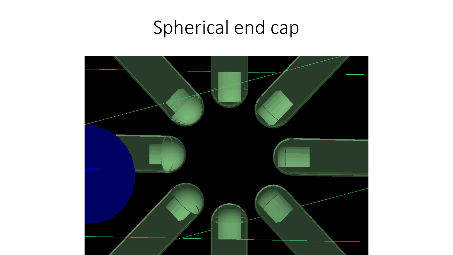## Spherical end cap

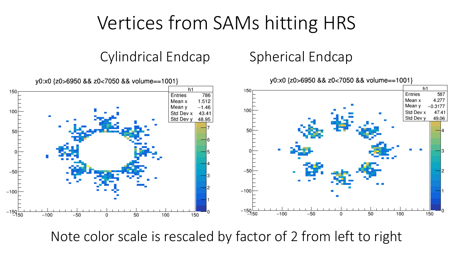## Vertices from SAMs hitting HRS

Cylindrical Endcap Spherical Endcap



Note color scale is rescaled by factor of 2 from left to right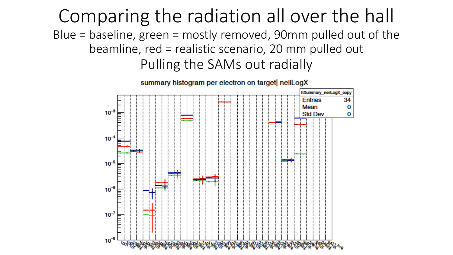Comparing the radiation all over the hall Blue = baseline, green = mostly removed, 90mm pulled out of the beamline, red = realistic scenario, 20 mm pulled out Pulling the SAMs out radially



summary histogram per electron on target neilLogX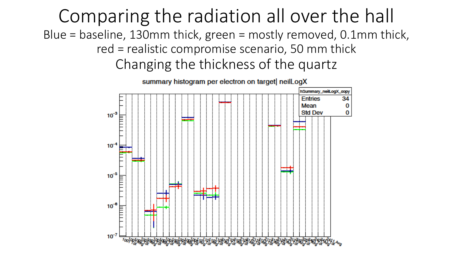Comparing the radiation all over the hall Blue = baseline, 130mm thick, green = mostly removed, 0.1mm thick, red = realistic compromise scenario, 50 mm thick Changing the thickness of the quartz



summary histogram per electron on target neilLogX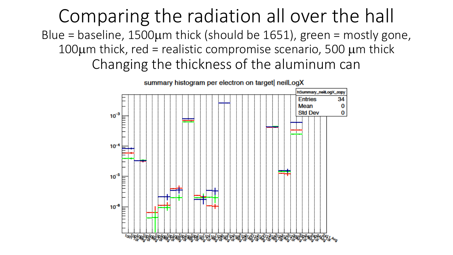Comparing the radiation all over the hall Blue = baseline,  $1500 \mu m$  thick (should be  $1651$ ), green = mostly gone, 100 $\mu$ m thick, red = realistic compromise scenario, 500  $\mu$ m thick Changing the thickness of the aluminum can